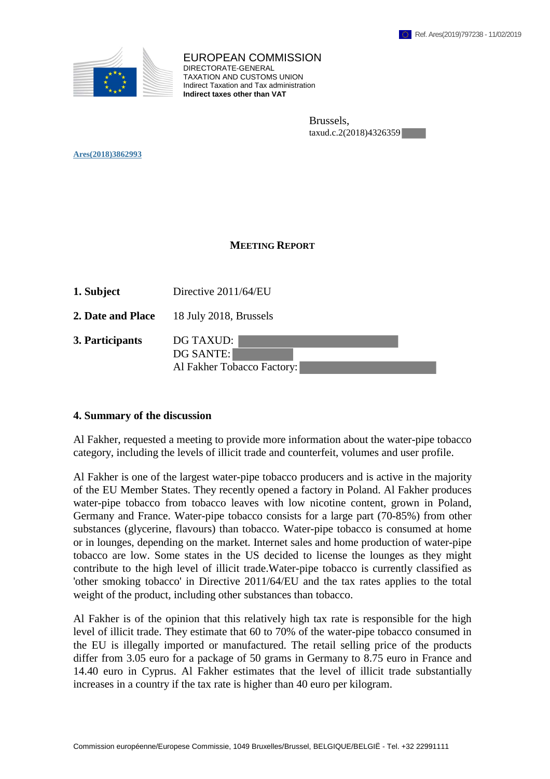

EUROPEAN COMMISSION DIRECTORATE-GENERAL TAXATION AND CUSTOMS UNION Indirect Taxation and Tax administration **Indirect taxes other than VAT**

> Brussels, taxud.c.2(2018)4326359

**Ares(2018)3862993** 

## **MEETING REPORT**

| 1. Subject        | Directive 2011/64/EU                                 |
|-------------------|------------------------------------------------------|
| 2. Date and Place | 18 July 2018, Brussels                               |
| 3. Participants   | DG TAXUD:<br>DG SANTE:<br>Al Fakher Tobacco Factory: |

## **4. Summary of the discussion**

Al Fakher, requested a meeting to provide more information about the water-pipe tobacco category, including the levels of illicit trade and counterfeit, volumes and user profile.

Al Fakher is one of the largest water-pipe tobacco producers and is active in the majority of the EU Member States. They recently opened a factory in Poland. Al Fakher produces water-pipe tobacco from tobacco leaves with low nicotine content, grown in Poland, Germany and France. Water-pipe tobacco consists for a large part (70-85%) from other substances (glycerine, flavours) than tobacco. Water-pipe tobacco is consumed at home or in lounges, depending on the market. Internet sales and home production of water-pipe tobacco are low. Some states in the US decided to license the lounges as they might contribute to the high level of illicit trade.Water-pipe tobacco is currently classified as 'other smoking tobacco' in Directive 2011/64/EU and the tax rates applies to the total weight of the product, including other substances than tobacco.

Al Fakher is of the opinion that this relatively high tax rate is responsible for the high level of illicit trade. They estimate that 60 to 70% of the water-pipe tobacco consumed in the EU is illegally imported or manufactured. The retail selling price of the products differ from 3.05 euro for a package of 50 grams in Germany to 8.75 euro in France and 14.40 euro in Cyprus. Al Fakher estimates that the level of illicit trade substantially increases in a country if the tax rate is higher than 40 euro per kilogram.